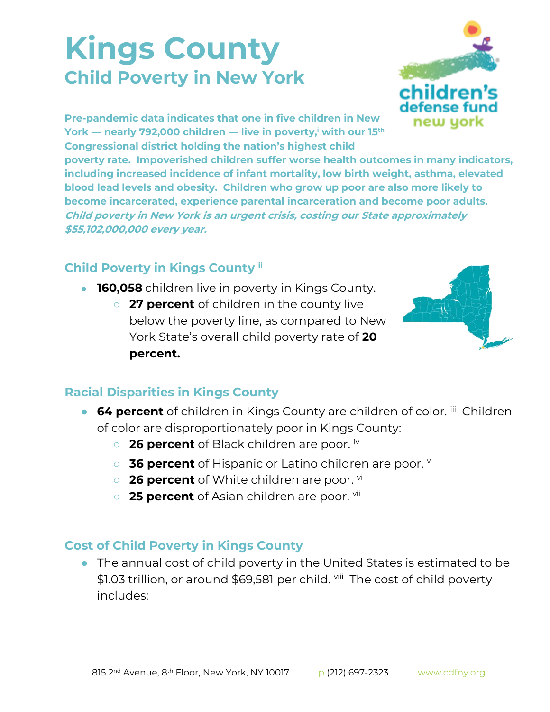## **Kings County Child Poverty in New York**



**Pre-pandemic data indicates that one in five children in New York — nearly 792,000 children — live in poverty,<sup>i</sup> with our 15th Congressional district holding the nation's highest child** 

**poverty rate. Impoverished children suffer worse health outcomes in many indicators, including increased incidence of infant mortality, low birth weight, asthma, elevated blood lead levels and obesity. Children who grow up poor are also more likely to become incarcerated, experience parental incarceration and become poor adults. Child poverty in New York is an urgent crisis, costing our State approximately \$55,102,000,000 every year.**

## **Child Poverty in Kings County ii**

- **160,058** children live in poverty in Kings County.
	- **27 percent** of children in the county live below the poverty line, as compared to New York State's overall child poverty rate of **20 percent.**



## **Racial Disparities in Kings County**

- **64 percent** of children in Kings County are children of color. iii Children of color are disproportionately poor in Kings County:
	- **26 percent** of Black children are poor. iv
	- **36 percent** of Hispanic or Latino children are poor.
	- o **26 percent** of White children are poor. vi
	- **25 percent** of Asian children are poor. <sup>vii</sup>

## **Cost of Child Poverty in Kings County**

● The annual cost of child poverty in the United States is estimated to be \$1.03 trillion, or around \$69,581 per child. <sup>viii</sup> The cost of child poverty includes: